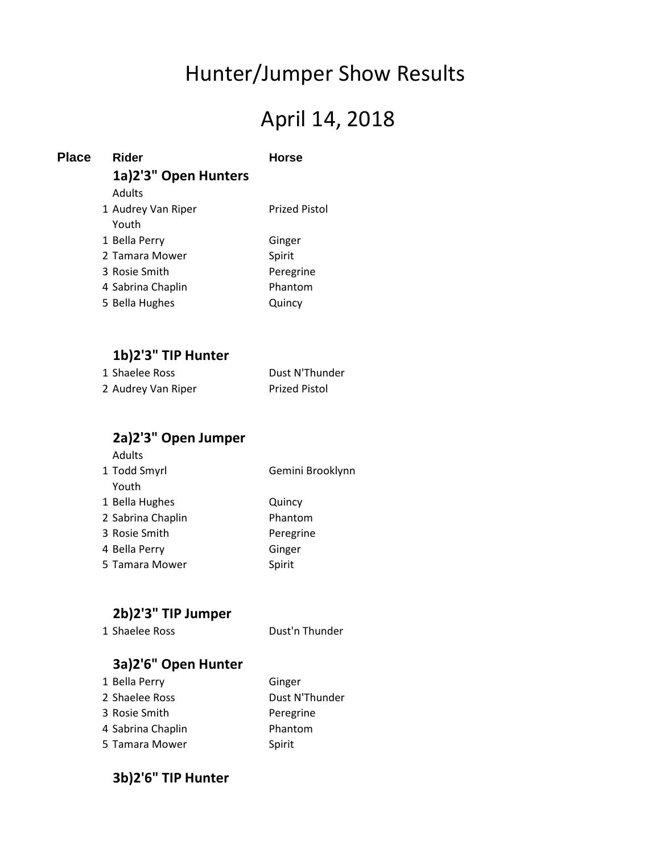# Hunter/Jumper Show Results

# April 14, 2018

| <b>Place</b> | Rider                | <b>Horse</b>         |  |  |
|--------------|----------------------|----------------------|--|--|
|              | 1a)2'3" Open Hunters |                      |  |  |
|              | Adults               |                      |  |  |
|              | 1 Audrey Van Riper   | <b>Prized Pistol</b> |  |  |
|              | Youth                |                      |  |  |
|              | 1 Bella Perry        | Ginger               |  |  |
|              | 2 Tamara Mower       | Spirit               |  |  |
|              | 3 Rosie Smith        | Peregrine            |  |  |
|              | 4 Sabrina Chaplin    | Phantom              |  |  |
|              | 5 Bella Hughes       | Quincy               |  |  |
|              |                      |                      |  |  |

### **1b)2'3" TIP Hunter**

| 1 Shaelee Ross     | Dust N'Thunder       |
|--------------------|----------------------|
| 2 Audrey Van Riper | <b>Prized Pistol</b> |

### **2a)2'3" Open Jumper**

| Youth             |           |
|-------------------|-----------|
| 1 Bella Hughes    | Quincy    |
| 2 Sabrina Chaplin | Phantom   |
| 3 Rosie Smith     | Peregrine |
| 4 Bella Perry     | Ginger    |
| 5 Tamara Mower    | Spirit    |

### **2b)2'3" TIP Jumper**

1 Shaelee Ross Dust'n Thunder

### **3a)2'6" Open Hunter**

| Dust N'Thunder<br>2 Shaelee Ross |  |
|----------------------------------|--|
| 3 Rosie Smith<br>Peregrine       |  |
| 4 Sabrina Chaplin<br>Phantom     |  |
| 5 Tamara Mower<br>Spirit         |  |

#### **3b)2'6" TIP Hunter**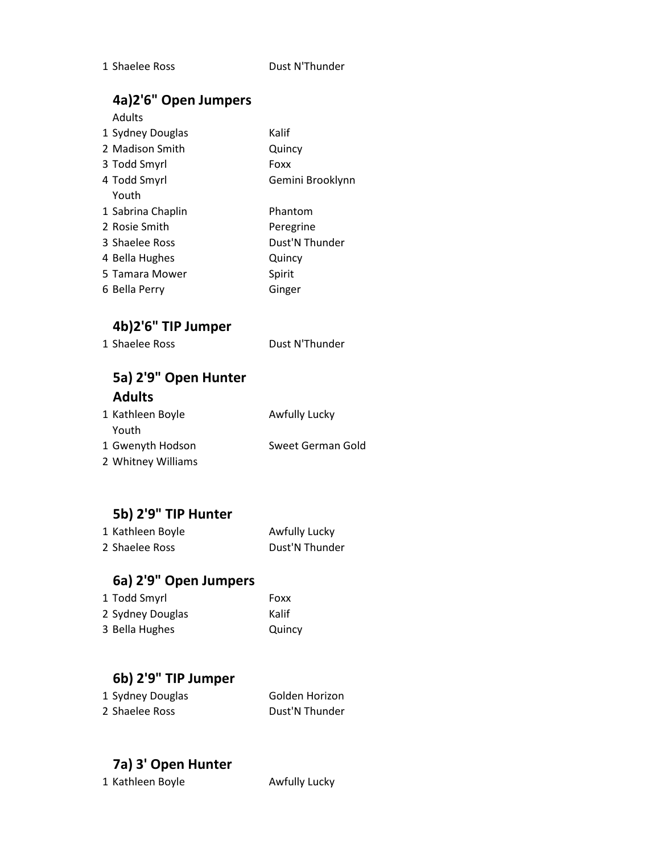#### 1 Shaelee Ross Dust N'Thunder

#### **4a)2'6" Open Jumpers**

| TUIL V UNCH JUILING IS |           |
|------------------------|-----------|
| Adults                 |           |
| 1 Sydney Douglas       | Kalif     |
| 2 Madison Smith        | Quincy    |
| 3 Todd Smyrl           | Foxx      |
| 4 Todd Smyrl           | Gemini Br |
| Youth                  |           |
| 1 Sabrina Chaplin      | Phantom   |
| 2 Rosie Smith          | Peregrine |

Gemini Brooklynn Phantom 3 Shaelee Ross Dust'N Thunder 4 Bella Hughes Quincy

- 5 Tamara Mower Spirit
- 6 Bella Perry Ginger

### **4b)2'6" TIP Jumper**

| 1 Shaelee Ross | Dust N'Thunder |
|----------------|----------------|
|                |                |
|                |                |

### **5a) 2'9" Open Hunter Adults**

| 1 Kathleen Boyle   | Awfully Lucky     |
|--------------------|-------------------|
| Youth              |                   |
| 1 Gwenyth Hodson   | Sweet German Gold |
| 2 Whitney Williams |                   |

#### **5b) 2'9" TIP Hunter**

| 1 Kathleen Boyle | Awfully Lucky  |
|------------------|----------------|
| 2 Shaelee Ross   | Dust'N Thunder |

#### **6a) 2'9" Open Jumpers**

| 1 Todd Smyrl     | Foxx   |
|------------------|--------|
| 2 Sydney Douglas | Kalif  |
| 3 Bella Hughes   | Quincy |

### **6b) 2'9" TIP Jumper**

| 1 Sydney Douglas | Golden Horizon |
|------------------|----------------|
| 2 Shaelee Ross   | Dust'N Thunder |

### **7a) 3' Open Hunter**

1 Kathleen Boyle **Awfully Lucky**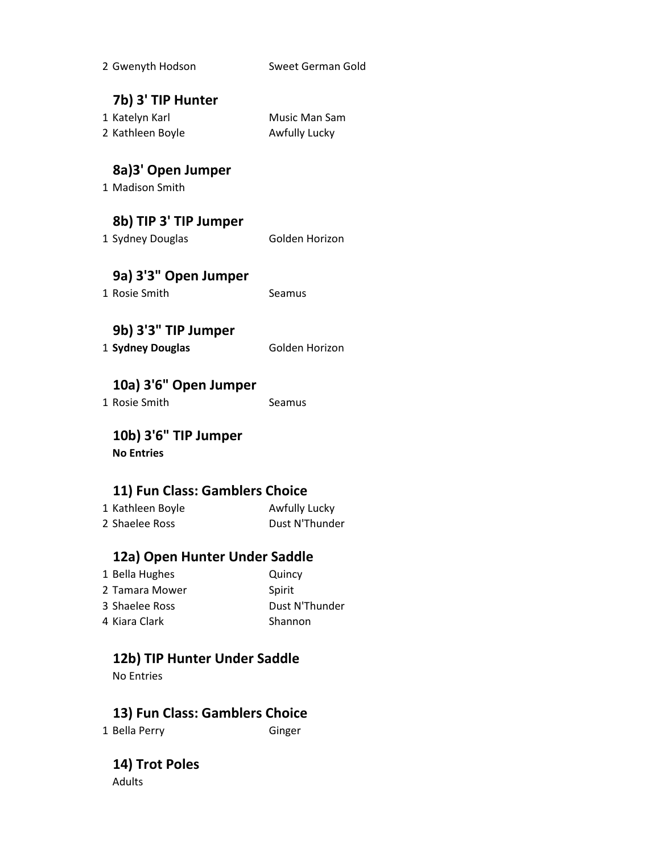| 2 Gwenyth Hodson               | Sweet German Gold |  |
|--------------------------------|-------------------|--|
| 7b) 3' TIP Hunter              |                   |  |
| 1 Katelyn Karl                 | Music Man Sam     |  |
| 2 Kathleen Boyle               | Awfully Lucky     |  |
| 8a)3' Open Jumper              |                   |  |
| 1 Madison Smith                |                   |  |
| 8b) TIP 3' TIP Jumper          |                   |  |
| 1 Sydney Douglas               | Golden Horizon    |  |
| 9a) 3'3" Open Jumper           |                   |  |
| 1 Rosie Smith                  | Seamus            |  |
| 9b) 3'3" TIP Jumper            |                   |  |
| 1 Sydney Douglas               | Golden Horizon    |  |
| 10a) 3'6" Open Jumper          |                   |  |
| 1 Rosie Smith                  | Seamus            |  |
| 10b) 3'6" TIP Jumper           |                   |  |
| <b>No Entries</b>              |                   |  |
| 11) Fun Class: Gamblers Choice |                   |  |
| 1 Kathleen Boyle               | Awfully Lucky     |  |
| 2 Shaelee Ross                 | Dust N'Thunder    |  |
| 12a) Open Hunter Under Saddle  |                   |  |
| 1 Bella Hughes                 | Quincy            |  |
|                                |                   |  |

2 Tamara Mower Spirit 3 Shaelee Ross Dust N'Thunder 4 Kiara Clark Shannon

### **12b) TIP Hunter Under Saddle**

No Entries

### **13) Fun Class: Gamblers Choice**

1 Bella Perry Ginger

**14) Trot Poles** Adults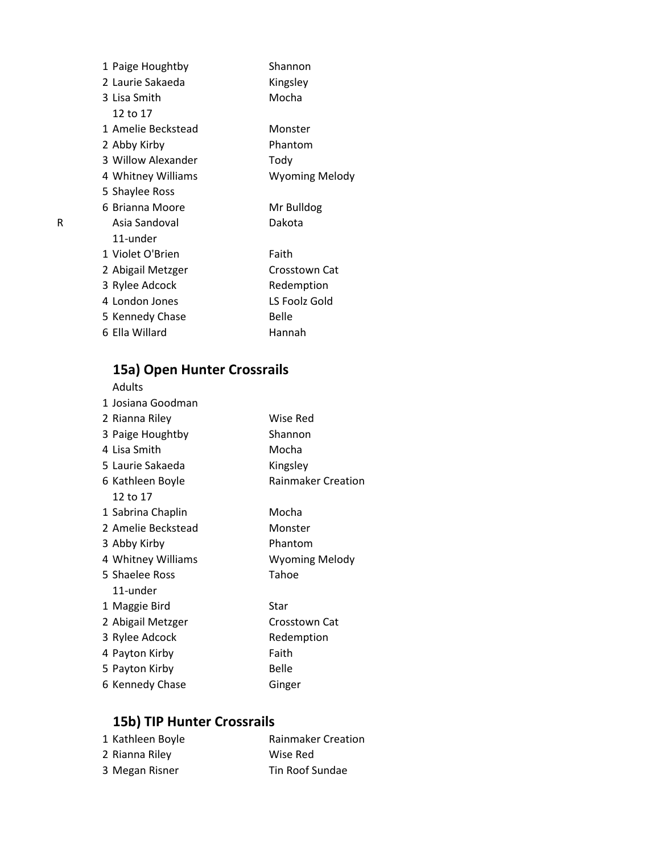| 1 Paige Houghtby   | Shannon               |
|--------------------|-----------------------|
| 2 Laurie Sakaeda   | Kingsley              |
| 3 Lisa Smith       | Mocha                 |
| 12 to 17           |                       |
| 1 Amelie Beckstead | Monster               |
| 2 Abby Kirby       | Phantom               |
| 3 Willow Alexander | Tody                  |
| 4 Whitney Williams | <b>Wyoming Melody</b> |
| 5 Shaylee Ross     |                       |
| 6 Brianna Moore    | Mr Bulldog            |
| Asia Sandoval      | Dakota                |
| 11-under           |                       |
| 1 Violet O'Brien   | Faith                 |
| 2 Abigail Metzger  | Crosstown Cat         |
| 3 Rylee Adcock     | Redemption            |
| 4 London Jones     | LS Foolz Gold         |
| 5 Kennedy Chase    | Belle                 |
| 6 Ella Willard     | Hannah                |
|                    |                       |

## **15a) Open Hunter Crossrails**

| Adults             |                           |
|--------------------|---------------------------|
| 1 Josiana Goodman  |                           |
| 2 Rianna Riley     | Wise Red                  |
| 3 Paige Houghtby   | Shannon                   |
| 4 Lisa Smith       | Mocha                     |
| 5 Laurie Sakaeda   | Kingsley                  |
| 6 Kathleen Boyle   | <b>Rainmaker Creation</b> |
| 12 to 17           |                           |
| 1 Sabrina Chaplin  | Mocha                     |
| 2 Amelie Beckstead | Monster                   |
| 3 Abby Kirby       | Phantom                   |
| 4 Whitney Williams | <b>Wyoming Melody</b>     |
| 5 Shaelee Ross     | Tahoe                     |
| 11-under           |                           |
| 1 Maggie Bird      | Star                      |
| 2 Abigail Metzger  | Crosstown Cat             |
| 3 Rylee Adcock     | Redemption                |
| 4 Payton Kirby     | Faith                     |
| 5 Payton Kirby     | <b>Belle</b>              |
| 6 Kennedy Chase    | Ginger                    |

### **15b) TIP Hunter Crossrails**

| 1 Kathleen Boyle | <b>Rainmaker Creation</b> |
|------------------|---------------------------|
| 2 Rianna Riley   | Wise Red                  |
| 3 Megan Risner   | Tin Roof Sundae           |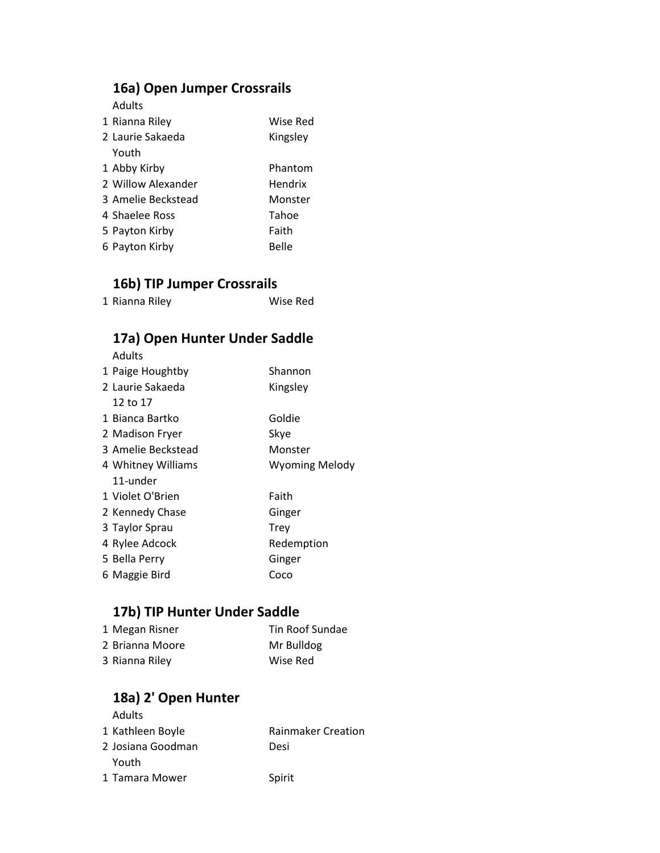### **16a) Open Jumper Crossrails**

Adults

| 1 Rianna Riley     | Wise Red |
|--------------------|----------|
| 2 Laurie Sakaeda   | Kingsley |
| Youth              |          |
| 1 Abby Kirby       | Phantom  |
| 2 Willow Alexander | Hendrix  |
| 3 Amelie Beckstead | Monster  |
| 4 Shaelee Ross     | Tahoe    |
| 5 Payton Kirby     | Faith    |
| 6 Payton Kirby     | Belle    |

#### **16b) TIP Jumper Crossrails**

| 1 Rianna Riley | Wise Red |
|----------------|----------|
|----------------|----------|

### **17a) Open Hunter Under Saddle**

Adults

| 1 Paige Houghtby   | Shannon               |
|--------------------|-----------------------|
| 2 Laurie Sakaeda   | Kingsley              |
| 12 to 17           |                       |
| 1 Bianca Bartko    | Goldie                |
| 2 Madison Fryer    | Skye                  |
| 3 Amelie Beckstead | Monster               |
| 4 Whitney Williams | <b>Wyoming Melody</b> |
| 11-under           |                       |
| 1 Violet O'Brien   | Faith                 |
| 2 Kennedy Chase    | Ginger                |
| 3 Taylor Sprau     | <b>Trev</b>           |
| 4 Rylee Adcock     | Redemption            |
| 5 Bella Perry      | Ginger                |
| 6 Maggie Bird      | Coco                  |

### **17b) TIP Hunter Under Saddle**

| 1 Megan Risner  | Tin Roof Sundae |
|-----------------|-----------------|
| 2 Brianna Moore | Mr Bulldog      |
| 3 Rianna Riley  | Wise Red        |

#### **18a) 2' Open Hunter** Adults

| Auults            |                           |
|-------------------|---------------------------|
| 1 Kathleen Boyle  | <b>Rainmaker Creation</b> |
| 2 Josiana Goodman | Desi                      |
| Youth             |                           |
| 1 Tamara Mower    | Spirit                    |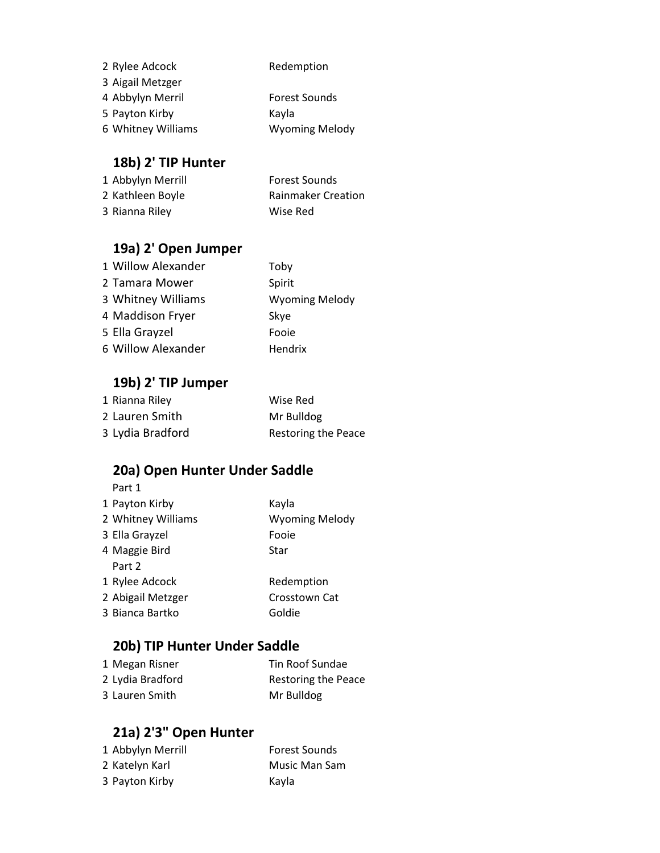| 2 Rylee Adcock     | Redemption            |
|--------------------|-----------------------|
| 3 Aigail Metzger   |                       |
| 4 Abbylyn Merril   | <b>Forest Sounds</b>  |
| 5 Payton Kirby     | Kayla                 |
| 6 Whitney Williams | <b>Wyoming Melody</b> |

### **18b) 2' TIP Hunter**

| 1 Abbylyn Merrill | <b>Forest Sounds</b>      |
|-------------------|---------------------------|
| 2 Kathleen Boyle  | <b>Rainmaker Creation</b> |
| 3 Rianna Riley    | Wise Red                  |

### **19a) 2' Open Jumper**

| 1 Willow Alexander | Toby                  |
|--------------------|-----------------------|
| 2 Tamara Mower     | Spirit                |
| 3 Whitney Williams | <b>Wyoming Melody</b> |
| 4 Maddison Fryer   | Skye                  |
| 5 Ella Grayzel     | Fooie                 |
| 6 Willow Alexander | Hendrix               |

#### **19b) 2' TIP Jumper**

| 1 Rianna Riley   | Wise Red                   |
|------------------|----------------------------|
| 2 Lauren Smith   | Mr Bulldog                 |
| 3 Lydia Bradford | <b>Restoring the Peace</b> |

### **20a) Open Hunter Under Saddle**

| Part 1             |                       |
|--------------------|-----------------------|
| 1 Payton Kirby     | Kayla                 |
| 2 Whitney Williams | <b>Wyoming Melody</b> |
| 3 Ella Grayzel     | Fooie                 |
| 4 Maggie Bird      | Star                  |
| Part 2             |                       |
| 1 Rylee Adcock     | Redemption            |
| 2 Abigail Metzger  | Crosstown Cat         |
| 3 Bianca Bartko    | Goldie                |
|                    |                       |

### **20b) TIP Hunter Under Saddle**

| 1 Megan Risner   | Tin Roof Sundae            |
|------------------|----------------------------|
| 2 Lydia Bradford | <b>Restoring the Peace</b> |
| 3 Lauren Smith   | Mr Bulldog                 |

### **21a) 2'3" Open Hunter**

| 1 Abbylyn Merrill | <b>Forest Sounds</b> |
|-------------------|----------------------|
| 2 Katelyn Karl    | Music Man Sam        |
| 3 Payton Kirby    | Kayla                |